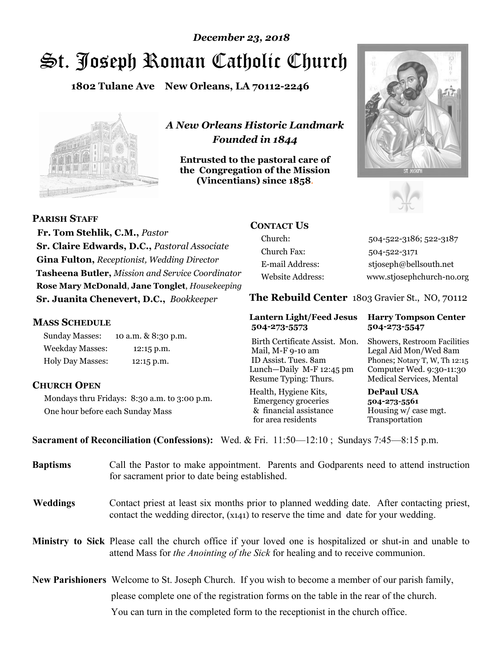# St. Joseph Roman Catholic Church *December 23, 2018*

**1802 Tulane Ave New Orleans, LA 70112-2246**



*A New Orleans Historic Landmark Founded in 1844* 

**Entrusted to the pastoral care of the Congregation of the Mission (Vincentians) since 1858**.





**PARISH STAFF**

 **Fr. Tom Stehlik, C.M.,** *Pastor* **Sr. Claire Edwards, D.C.,** *Pastoral Associate* **Gina Fulton,** *Receptionist, Wedding Director* **Tasheena Butler,** *Mission and Service Coordinator* **Rose Mary McDonald**, **Jane Tonglet**, *Housekeeping* **Sr. Juanita Chenevert, D.C.,** *Bookkeeper* 

### **MASS SCHEDULE**

Sunday Masses: 10 a.m. & 8:30 p.m. Weekday Masses: 12:15 p.m. Holy Day Masses: 12:15 p.m.

## **CHURCH OPEN**

Mondays thru Fridays: 8:30 a.m. to 3:00 p.m. One hour before each Sunday Mass

# **CONTACT US**

Church: 504-522-3186; 522-3187 Church Fax: 504-522-3171 E-mail Address: stjoseph@bellsouth.net Website Address: www.stjosephchurch-no.org

**The Rebuild Center** 1803 Gravier St., NO, 70112

#### **Lantern Light/Feed Jesus Harry Tompson Center 504-273-5573 504-273-5547**

Birth Certificate Assist. Mon. Showers, Restroom Facilities Mail, M-F 9-10 am Legal Aid Mon/Wed 8am ID Assist. Tues. 8am Phones; Notary T, W, Th 12:15 Lunch—Daily M-F 12:45 pm Computer Wed. 9:30-11:30 Resume Typing: Thurs. Medical Services, Mental

Health, Hygiene Kits, **DePaul USA**  Emergency groceries **504-273-5561** & financial assistance Housing w/ case mgt.<br>for area residents Transportation for area residents

**Sacrament of Reconciliation (Confessions):** Wed. & Fri. 11:50—12:10 ; Sundays 7:45—8:15 p.m.

| <b>Baptisms</b> | Call the Pastor to make appointment. Parents and Godparents need to attend instruction<br>for sacrament prior to date being established.                                                                   |
|-----------------|------------------------------------------------------------------------------------------------------------------------------------------------------------------------------------------------------------|
| <b>Weddings</b> | Contact priest at least six months prior to planned wedding date. After contacting priest,<br>contact the wedding director, (x141) to reserve the time and date for your wedding.                          |
|                 | <b>Ministry to Sick</b> Please call the church office if your loved one is hospitalized or shut-in and unable to<br>attend Mass for <i>the Anointing of the Sick</i> for healing and to receive communion. |
|                 | <b>New Parishioners</b> Welcome to St. Joseph Church. If you wish to become a member of our parish family,                                                                                                 |
|                 | please complete one of the registration forms on the table in the rear of the church.                                                                                                                      |
|                 | You can turn in the completed form to the receptionist in the church office.                                                                                                                               |